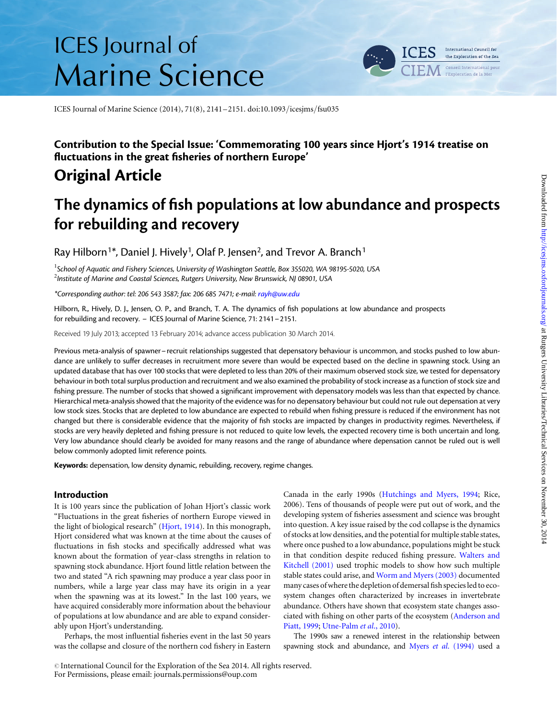# ICES Journal of Marine Science



ICES Journal of Marine Science (2014), 71(8), 2141–2151. doi:10.1093/icesjms/fsu035

# Contribution to the Special Issue: 'Commemorating 100 years since Hjort's 1914 treatise on fluctuations in the great fisheries of northern Europe'

# Original Article

# The dynamics of fish populations at low abundance and prospects for rebuilding and recovery

Ray Hilborn<sup>1\*</sup>, Daniel J. Hively<sup>1</sup>, Olaf P. Jensen<sup>2</sup>, and Trevor A. Branch<sup>1</sup>

<sup>1</sup>School of Aquatic and Fishery Sciences, University of Washington Seattle, Box 355020, WA 98195-5020, USA  $^2$ Institute of Marine and Coastal Sciences, Rutgers University, New Brunswick, NJ 08901, USA

\*Corresponding author: tel: 206 543 3587; fax: 206 685 7471; e-mail: [rayh@uw.edu](mailto:rayh@uw.edu)

Hilborn, R., Hively, D. J., Jensen, O. P., and Branch, T. A. The dynamics of fish populations at low abundance and prospects for rebuilding and recovery. – ICES Journal of Marine Science, 71: 2141–2151.

Received 19 July 2013; accepted 13 February 2014; advance access publication 30 March 2014.

Previous meta-analysis of spawner– recruit relationships suggested that depensatory behaviour is uncommon, and stocks pushed to low abundance are unlikely to suffer decreases in recruitment more severe than would be expected based on the decline in spawning stock. Using an updated database that has over 100 stocks that were depleted to less than 20% of their maximum observed stock size, we tested for depensatory behaviour in both total surplus production and recruitment and we also examined the probability of stock increase as a function of stock size and fishing pressure. The number of stocks that showed a significant improvement with depensatory models was less than that expected by chance. Hierarchical meta-analysis showed that the majority of the evidence was for no depensatory behaviour but could not rule out depensation at very low stock sizes. Stocks that are depleted to low abundance are expected to rebuild when fishing pressure is reduced if the environment has not changed but there is considerable evidence that the majority of fish stocks are impacted by changes in productivity regimes. Nevertheless, if stocks are very heavily depleted and fishing pressure is not reduced to quite low levels, the expected recovery time is both uncertain and long. Very low abundance should clearly be avoided for many reasons and the range of abundance where depensation cannot be ruled out is well below commonly adopted limit reference points.

Keywords: depensation, low density dynamic, rebuilding, recovery, regime changes.

# Introduction

It is 100 years since the publication of Johan Hjort's classic work "Fluctuations in the great fisheries of northern Europe viewed in the light of biological research" ([Hjort, 1914\)](#page-10-0). In this monograph, Hjort considered what was known at the time about the causes of fluctuations in fish stocks and specifically addressed what was known about the formation of year-class strengths in relation to spawning stock abundance. Hjort found little relation between the two and stated "A rich spawning may produce a year class poor in numbers, while a large year class may have its origin in a year when the spawning was at its lowest." In the last 100 years, we have acquired considerably more information about the behaviour of populations at low abundance and are able to expand considerably upon Hjort's understanding.

Perhaps, the most influential fisheries event in the last 50 years was the collapse and closure of the northern cod fishery in Eastern Canada in the early 1990s [\(Hutchings and Myers, 1994;](#page-10-0) Rice, 2006). Tens of thousands of people were put out of work, and the developing system of fisheries assessment and science was brought into question. A key issue raised by the cod collapse is the dynamics of stocks at low densities, and the potential for multiple stable states, where once pushed to a low abundance, populations might be stuck in that condition despite reduced fishing pressure. [Walters and](#page-10-0) [Kitchell \(2001\)](#page-10-0) used trophic models to show how such multiple stable states could arise, and [Worm and Myers \(2003\)](#page-10-0) documented many cases of where the depletion of demersal fish species led to ecosystem changes often characterized by increases in invertebrate abundance. Others have shown that ecosystem state changes associated with fishing on other parts of the ecosystem ([Anderson and](#page-10-0) [Piatt, 1999](#page-10-0); [Utne-Palm](#page-10-0) et al., 2010).

The 1990s saw a renewed interest in the relationship between spawning stock and abundance, and Myers et al[. \(1994\)](#page-10-0) used a

 $\degree$  International Council for the Exploration of the Sea 2014. All rights reserved. For Permissions, please email: journals.permissions@oup.com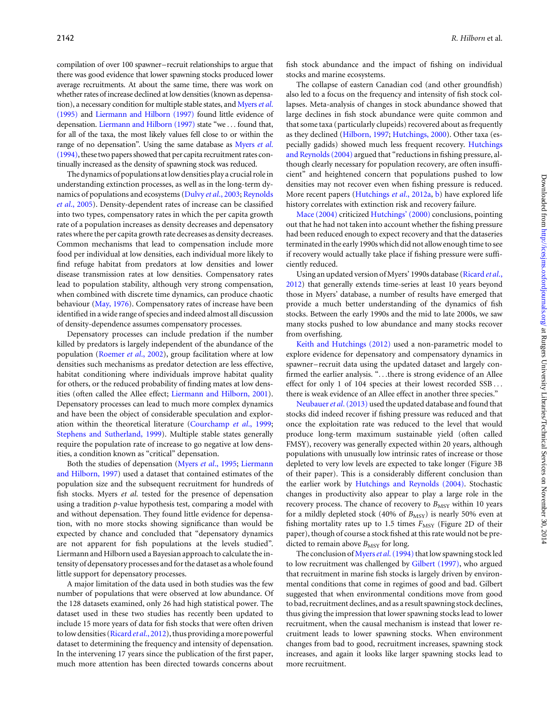compilation of over 100 spawner–recruit relationships to argue that there was good evidence that lower spawning stocks produced lower average recruitments. At about the same time, there was work on whether rates of increase declined at low densities (known as depensa-tion), a necessary condition for multiple stable states, and [Myers](#page-10-0) et al. [\(1995\)](#page-10-0) and [Liermann and Hilborn \(1997\)](#page-10-0) found little evidence of depensation. [Liermann and Hilborn \(1997\)](#page-10-0) state "we ... found that, for all of the taxa, the most likely values fell close to or within the range of no depensation". Using the same database as [Myers](#page-10-0) et al. [\(1994\),](#page-10-0) these two papers showed that per capita recruitment rates continually increased as the density of spawning stock was reduced.

The dynamics of populations at low densities play a crucial role in understanding extinction processes, as well as in the long-term dynamics of populations and ecosystems (Dulvy et al[., 2003;](#page-10-0) [Reynolds](#page-10-0) et al[., 2005\)](#page-10-0). Density-dependent rates of increase can be classified into two types, compensatory rates in which the per capita growth rate of a population increases as density decreases and depensatory rates where the per capita growth rate decreases as density decreases. Common mechanisms that lead to compensation include more food per individual at low densities, each individual more likely to find refuge habitat from predators at low densities and lower disease transmission rates at low densities. Compensatory rates lead to population stability, although very strong compensation, when combined with discrete time dynamics, can produce chaotic behaviour [\(May, 1976\)](#page-10-0). Compensatory rates of increase have been identified in a wide range of species and indeed almost all discussion of density-dependence assumes compensatory processes.

Depensatory processes can include predation if the number killed by predators is largely independent of the abundance of the population ([Roemer](#page-10-0) et al., 2002), group facilitation where at low densities such mechanisms as predator detection are less effective, habitat conditioning where individuals improve habitat quality for others, or the reduced probability of finding mates at low densities (often called the Allee effect; [Liermann and Hilborn, 2001\)](#page-10-0). Depensatory processes can lead to much more complex dynamics and have been the object of considerable speculation and exploration within the theoretical literature [\(Courchamp](#page-10-0) et al., 1999; [Stephens and Sutherland, 1999\)](#page-10-0). Multiple stable states generally require the population rate of increase to go negative at low densities, a condition known as "critical" depensation.

Both the studies of depensation (Myers et al[., 1995](#page-10-0); [Liermann](#page-10-0) [and Hilborn, 1997](#page-10-0)) used a dataset that contained estimates of the population size and the subsequent recruitment for hundreds of fish stocks. Myers et al. tested for the presence of depensation using a tradition p-value hypothesis test, comparing a model with and without depensation. They found little evidence for depensation, with no more stocks showing significance than would be expected by chance and concluded that "depensatory dynamics are not apparent for fish populations at the levels studied". Liermann and Hilborn used a Bayesian approach to calculate the intensity of depensatory processes and for the dataset as a whole found little support for depensatory processes.

A major limitation of the data used in both studies was the few number of populations that were observed at low abundance. Of the 128 datasets examined, only 26 had high statistical power. The dataset used in these two studies has recently been updated to include 15 more years of data for fish stocks that were often driven to low densities [\(Ricard](#page-10-0) et al., 2012), thus providing a more powerful dataset to determining the frequency and intensity of depensation. In the intervening 17 years since the publication of the first paper, much more attention has been directed towards concerns about fish stock abundance and the impact of fishing on individual stocks and marine ecosystems.

The collapse of eastern Canadian cod (and other groundfish) also led to a focus on the frequency and intensity of fish stock collapses. Meta-analysis of changes in stock abundance showed that large declines in fish stock abundance were quite common and that some taxa (particularly clupeids) recovered about as frequently as they declined [\(Hilborn, 1997;](#page-10-0) [Hutchings, 2000](#page-10-0)). Other taxa (especially gadids) showed much less frequent recovery. [Hutchings](#page-10-0) [and Reynolds \(2004\)](#page-10-0) argued that "reductions in fishing pressure, although clearly necessary for population recovery, are often insufficient" and heightened concern that populations pushed to low densities may not recover even when fishing pressure is reduced. More recent papers ([Hutchings](#page-10-0) *et al.*, 2012a, [b](#page-10-0)) have explored life history correlates with extinction risk and recovery failure.

[Mace \(2004\)](#page-10-0) criticized [Hutchings' \(2000\)](#page-10-0) conclusions, pointing out that he had not taken into account whether the fishing pressure had been reduced enough to expect recovery and that the dataseries terminated in the early 1990s which did not allow enough time to see if recovery would actually take place if fishing pressure were sufficiently reduced.

Using an updated version of Myers' 1990s database [\(Ricard](#page-10-0) et al., [2012\)](#page-10-0) that generally extends time-series at least 10 years beyond those in Myers' database, a number of results have emerged that provide a much better understanding of the dynamics of fish stocks. Between the early 1990s and the mid to late 2000s, we saw many stocks pushed to low abundance and many stocks recover from overfishing.

[Keith and Hutchings \(2012\)](#page-10-0) used a non-parametric model to explore evidence for depensatory and compensatory dynamics in spawner–recruit data using the updated dataset and largely confirmed the earlier analysis. "...there is strong evidence of an Allee effect for only 1 of 104 species at their lowest recorded SSB ... there is weak evidence of an Allee effect in another three species."

[Neubauer](#page-10-0) et al. (2013) used the updated database and found that stocks did indeed recover if fishing pressure was reduced and that once the exploitation rate was reduced to the level that would produce long-term maximum sustainable yield (often called FMSY), recovery was generally expected within 20 years, although populations with unusually low intrinsic rates of increase or those depleted to very low levels are expected to take longer (Figure 3B of their paper). This is a considerably different conclusion than the earlier work by [Hutchings and Reynolds \(2004\)](#page-10-0). Stochastic changes in productivity also appear to play a large role in the recovery process. The chance of recovery to  $B_{\text{MSY}}$  within 10 years for a mildly depleted stock (40% of  $B_{\text{MSY}}$ ) is nearly 50% even at fishing mortality rates up to 1.5 times  $F_{\text{MSY}}$  (Figure 2D of their paper), though of course a stock fished at this rate would not be predicted to remain above  $B_{\text{MSY}}$  for long.

The conclusion of Myers et al[. \(1994\)](#page-10-0) that low spawning stock led to low recruitment was challenged by [Gilbert \(1997\)](#page-10-0), who argued that recruitment in marine fish stocks is largely driven by environmental conditions that come in regimes of good and bad. Gilbert suggested that when environmental conditions move from good to bad, recruitment declines, and as a result spawning stock declines, thus giving the impression that lower spawning stocks lead to lower recruitment, when the causal mechanism is instead that lower recruitment leads to lower spawning stocks. When environment changes from bad to good, recruitment increases, spawning stock increases, and again it looks like larger spawning stocks lead to more recruitment.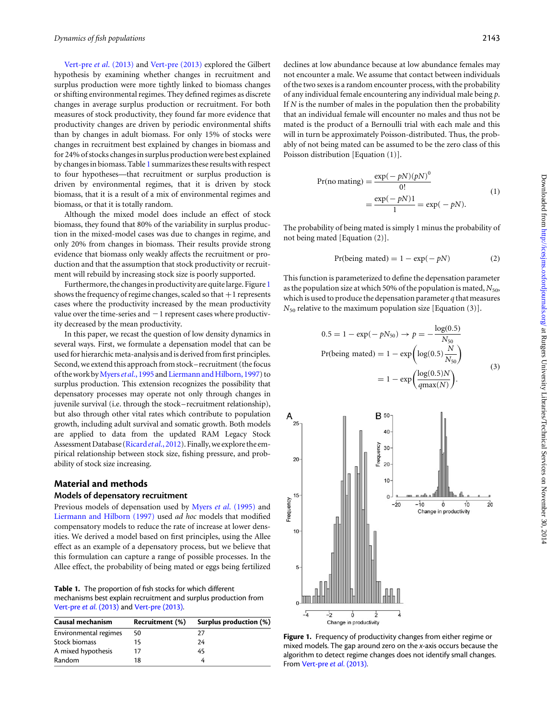[Vert-pre](#page-10-0) et al. (2013) and [Vert-pre \(2013\)](#page-10-0) explored the Gilbert hypothesis by examining whether changes in recruitment and surplus production were more tightly linked to biomass changes or shifting environmental regimes. They defined regimes as discrete changes in average surplus production or recruitment. For both measures of stock productivity, they found far more evidence that productivity changes are driven by periodic environmental shifts than by changes in adult biomass. For only 15% of stocks were changes in recruitment best explained by changes in biomass and for 24% of stocks changes in surplus production were best explained by changes in biomass. Table 1 summarizes these results with respect to four hypotheses—that recruitment or surplus production is driven by environmental regimes, that it is driven by stock biomass, that it is a result of a mix of environmental regimes and biomass, or that it is totally random.

Although the mixed model does include an effect of stock biomass, they found that 80% of the variability in surplus production in the mixed-model cases was due to changes in regime, and only 20% from changes in biomass. Their results provide strong evidence that biomass only weakly affects the recruitment or production and that the assumption that stock productivity or recruitment will rebuild by increasing stock size is poorly supported.

Furthermore, the changes in productivity are quite large. Figure 1 shows the frequency of regime changes, scaled so that  $+1$  represents cases where the productivity increased by the mean productivity value over the time-series and  $-1$  represent cases where productivity decreased by the mean productivity.

In this paper, we recast the question of low density dynamics in several ways. First, we formulate a depensation model that can be used for hierarchic meta-analysis and is derived from first principles. Second, we extend this approach from stock–recruitment (the focus of the work by Myers et al[., 1995](#page-10-0) and [Liermann and Hilborn, 1997\)](#page-10-0) to surplus production. This extension recognizes the possibility that depensatory processes may operate not only through changes in juvenile survival (i.e. through the stock–recruitment relationship), but also through other vital rates which contribute to population growth, including adult survival and somatic growth. Both models are applied to data from the updated RAM Legacy Stock Assessment Database [\(Ricard](#page-10-0) et al., 2012). Finally, we explore the empirical relationship between stock size, fishing pressure, and probability of stock size increasing.

# Material and methods

# Models of depensatory recruitment

Previous models of depensation used by Myers et al[. \(1995\)](#page-10-0) and [Liermann and Hilborn \(1997\)](#page-10-0) used ad hoc models that modified compensatory models to reduce the rate of increase at lower densities. We derived a model based on first principles, using the Allee effect as an example of a depensatory process, but we believe that this formulation can capture a range of possible processes. In the Allee effect, the probability of being mated or eggs being fertilized

Table 1. The proportion of fish stocks for which different mechanisms best explain recruitment and surplus production from [Vert-pre](#page-10-0) et al. (2013) and [Vert-pre \(2013\)](#page-10-0).

| Recruitment (%) | Surplus production (%) |  |
|-----------------|------------------------|--|
| 50              | 27                     |  |
| 15              | 24                     |  |
| 17              | 45                     |  |
| 18              |                        |  |
|                 |                        |  |

declines at low abundance because at low abundance females may not encounter a male. We assume that contact between individuals of the two sexes is a random encounter process, with the probability of any individual female encountering any individual male being p. If  $N$  is the number of males in the population then the probability that an individual female will encounter no males and thus not be mated is the product of a Bernoulli trial with each male and this will in turn be approximately Poisson-distributed. Thus, the probably of not being mated can be assumed to be the zero class of this Poisson distribution [Equation (1)].

$$
Pr(no mating) = \frac{\exp(-pN)(pN)^{0}}{0!}
$$

$$
= \frac{\exp(-pN)1}{1} = \exp(-pN).
$$
 (1)

The probability of being mated is simply 1 minus the probability of not being mated [Equation (2)].

$$
Pr(being \text{ mated}) = 1 - exp(-pN)
$$
 (2)

This function is parameterized to define the depensation parameter as the population size at which 50% of the population is mated,  $N_{50}$ , which is used to produce the depensation parameter  $q$  that measures  $N_{50}$  relative to the maximum population size [Equation (3)].

$$
0.5 = 1 - \exp(-pN_{50}) \to p = -\frac{\log(0.5)}{N_{50}}
$$
  
Pr(being mated) = 1 - exp $\left(\log(0.5)\frac{N}{N_{50}}\right)$   
= 1 - exp $\left(\frac{\log(0.5)N}{qmax(N)}\right)$ . (3)

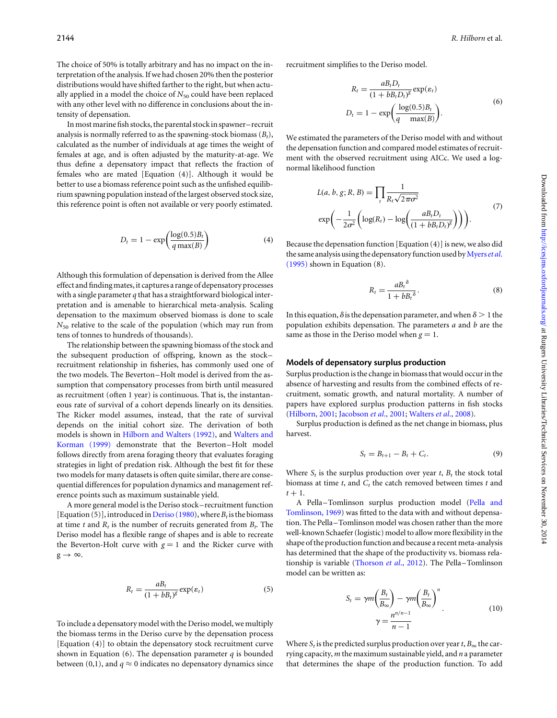The choice of 50% is totally arbitrary and has no impact on the interpretation of the analysis. If we had chosen 20% then the posterior distributions would have shifted farther to the right, but when actually applied in a model the choice of  $N_{50}$  could have been replaced with any other level with no difference in conclusions about the intensity of depensation.

In most marine fish stocks, the parental stock in spawner–recruit analysis is normally referred to as the spawning-stock biomass  $(B_t)$ , calculated as the number of individuals at age times the weight of females at age, and is often adjusted by the maturity-at-age. We thus define a depensatory impact that reflects the fraction of females who are mated [Equation (4)]. Although it would be better to use a biomass reference point such as the unfished equilibrium spawning population instead of the largest observed stock size, this reference point is often not available or very poorly estimated.

$$
D_t = 1 - \exp\left(\frac{\log(0.5)B_t}{q \max(B)}\right) \tag{4}
$$

Although this formulation of depensation is derived from the Allee effect and finding mates, it captures a range of depensatory processes with a single parameter  $q$  that has a straightforward biological interpretation and is amenable to hierarchical meta-analysis. Scaling depensation to the maximum observed biomass is done to scale  $N_{50}$  relative to the scale of the population (which may run from tens of tonnes to hundreds of thousands).

The relationship between the spawning biomass of the stock and the subsequent production of offspring, known as the stock– recruitment relationship in fisheries, has commonly used one of the two models. The Beverton–Holt model is derived from the assumption that compensatory processes from birth until measured as recruitment (often 1 year) is continuous. That is, the instantaneous rate of survival of a cohort depends linearly on its densities. The Ricker model assumes, instead, that the rate of survival depends on the initial cohort size. The derivation of both models is shown in [Hilborn and Walters \(1992\)](#page-10-0), and [Walters and](#page-10-0) [Korman \(1999\)](#page-10-0) demonstrate that the Beverton–Holt model follows directly from arena foraging theory that evaluates foraging strategies in light of predation risk. Although the best fit for these two models for many datasets is often quite similar, there are consequential differences for population dynamics and management reference points such as maximum sustainable yield.

A more general model is the Deriso stock–recruitment function [Equation (5)], introduced in [Deriso \(1980\)](#page-10-0), where  $B_t$  is the biomass at time t and  $R_t$  is the number of recruits generated from  $B_t$ . The Deriso model has a flexible range of shapes and is able to recreate the Beverton-Holt curve with  $g = 1$  and the Ricker curve with  $g \rightarrow \infty$ .

$$
R_t = \frac{aB_t}{(1 + bB_t)^g} \exp(\varepsilon_t)
$$
\n(5)

To include a depensatory model with the Deriso model, we multiply the biomass terms in the Deriso curve by the depensation process [Equation (4)] to obtain the depensatory stock recruitment curve shown in Equation (6). The depensation parameter  $q$  is bounded between (0,1), and  $q \approx 0$  indicates no depensatory dynamics since recruitment simplifies to the Deriso model.

$$
R_t = \frac{aB_t D_t}{(1 + bB_t D_t)^s} \exp(\varepsilon_t)
$$
  

$$
D_t = 1 - \exp\left(\frac{\log(0.5)B_t}{q \max(B)}\right).
$$
 (6)

We estimated the parameters of the Deriso model with and without the depensation function and compared model estimates of recruitment with the observed recruitment using AICc. We used a lognormal likelihood function

$$
L(a, b, g; R, B) = \prod_{t} \frac{1}{R_t \sqrt{2\pi\sigma^2}}
$$
  
\n
$$
\exp\left(-\frac{1}{2\sigma^2} \left(\log(R_t) - \log\left(\frac{aB_t D_t}{(1 + bB_t D_t)^g}\right)\right)\right).
$$
\n(7)

Because the depensation function [Equation (4)] is new, we also did the same analysis using the depensatory function used by [Myers](#page-10-0) et al. [\(1995\)](#page-10-0) shown in Equation (8).

$$
R_t = \frac{a B_t^{\delta}}{1 + b B_t^{\delta}}.\tag{8}
$$

In this equation,  $\delta$  is the depensation parameter, and when  $\delta$  > 1 the population exhibits depensation. The parameters  $a$  and  $b$  are the same as those in the Deriso model when  $g = 1$ .

#### Models of depensatory surplus production

Surplus production is the change in biomass that would occur in the absence of harvesting and results from the combined effects of recruitment, somatic growth, and natural mortality. A number of papers have explored surplus production patterns in fish stocks [\(Hilborn, 2001;](#page-10-0) [Jacobson](#page-10-0) et al., 2001; [Walters](#page-10-0) et al., 2008).

Surplus production is defined as the net change in biomass, plus harvest.

$$
S_t = B_{t+1} - B_t + C_t.
$$
 (9)

Where  $S_t$  is the surplus production over year t,  $B_t$  the stock total biomass at time  $t$ , and  $C_t$  the catch removed between times  $t$  and  $t+1$ .

A Pella–Tomlinson surplus production model [\(Pella and](#page-10-0) [Tomlinson, 1969](#page-10-0)) was fitted to the data with and without depensation. The Pella–Tomlinson model was chosen rather than the more well-known Schaefer (logistic) model to allow more flexibility in the shape of the production function and because a recent meta-analysis has determined that the shape of the productivity vs. biomass rela-tionship is variable ([Thorson](#page-10-0) et al., 2012). The Pella–Tomlinson model can be written as:

$$
S_t = \gamma m \left(\frac{B_t}{B_{\infty}}\right) - \gamma m \left(\frac{B_t}{B_{\infty}}\right)^n
$$
  

$$
\gamma = \frac{n^{n/n - 1}}{n - 1} \tag{10}
$$

Where  $S_t$  is the predicted surplus production over year t,  $B_{\infty}$  the carrying capacity,  $m$  the maximum sustainable yield, and  $n$  a parameter that determines the shape of the production function. To add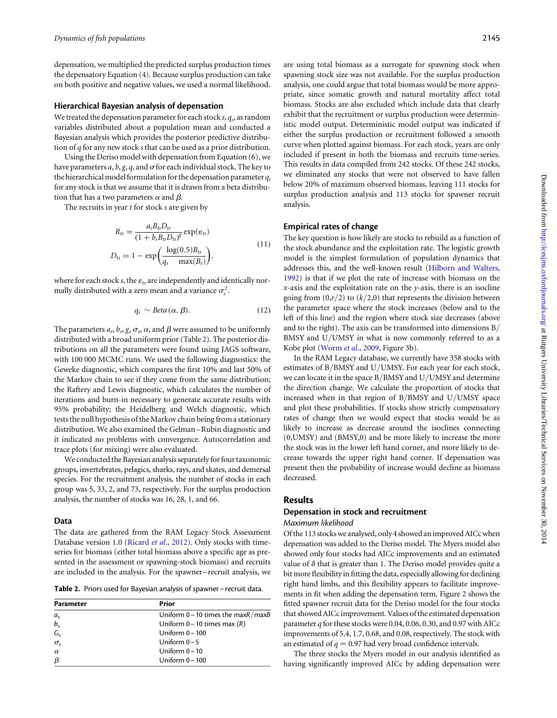depensation, we multiplied the predicted surplus production times the depensatory Equation (4). Because surplus production can take on both positive and negative values, we used a normal likelihood.

## Hierarchical Bayesian analysis of depensation

We treated the depensation parameter for each stock  $s, q_s$  as random variables distributed about a population mean and conducted a Bayesian analysis which provides the posterior predictive distribution of q for any new stock s that can be used as a prior distribution.

Using the Deriso model with depensation from Equation (6), we have parameters a, b, g, q, and  $\sigma$  for each individual stock. The key to the hierarchical model formulation for the depensation parameter  $q_i$ for any stock is that we assume that it is drawn from a beta distribution that has a two parameters  $\alpha$  and  $\beta$ .

The recruits in year  $t$  for stock  $s$  are given by

$$
R_{ts} = \frac{a_s B_{ts} D_{ts}}{(1 + b_s B_{ts} D_{ts})^g} \exp(\varepsilon_{ts})
$$
  

$$
D_{ts} = 1 - \exp\left(\frac{\log(0.5) B_{ts}}{q_s - \max(B_s)}\right),
$$
 (11)

where for each stock s, the  $\varepsilon_{ts}$  are independently and identically normally distributed with a zero mean and a variance  $\sigma_s^2$ .

$$
q_i \sim Beta(\alpha, \beta). \tag{12}
$$

The parameters  $a_s$ ,  $b_s$ ,  $g_s$ ,  $\sigma_s$ , and  $\beta$  were assumed to be uniformly distributed with a broad uniform prior (Table 2). The posterior distributions on all the parameters were found using JAGS software, with 100 000 MCMC runs. We used the following diagnostics: the Geweke diagnostic, which compares the first 10% and last 50% of the Markov chain to see if they come from the same distribution; the Raftery and Lewis diagnostic, which calculates the number of iterations and burn-in necessary to generate accurate results with 95% probability; the Heidelberg and Welch diagnostic, which tests the null hypothesis of the Markov chain being from a stationary distribution. We also examined the Gelman–Rubin diagnostic and it indicated no problems with convergence. Autocorrelation and trace plots (for mixing) were also evaluated.

We conducted the Bayesian analysis separately for four taxonomic groups, invertebrates, pelagics, sharks, rays, and skates, and demersal species. For the recruitment analysis, the number of stocks in each group was 5, 33, 2, and 73, respectively. For the surplus production analysis, the number of stocks was 16, 28, 1, and 66.

### Data

The data are gathered from the RAM Legacy Stock Assessment Database version 1.0 [\(Ricard](#page-10-0) et al., 2012). Only stocks with timeseries for biomass (either total biomass above a specific age as presented in the assessment or spawning-stock biomass) and recruits are included in the analysis. For the spawner–recruit analysis, we

Table 2. Priors used for Bayesian analysis of spawner - recruit data.

| Parameter    | Prior                                   |
|--------------|-----------------------------------------|
| $a_{s}$      | Uniform $0 - 10$ times the max $R/maxB$ |
| $b_{s}$      | Uniform $0 - 10$ times max $(R)$        |
| $G_{s}$      | Uniform $0 - 100$                       |
| $\sigma_{s}$ | Uniform $0 - 5$                         |
| $\alpha$     | Uniform $0 - 10$                        |
| β            | Uniform $0 - 100$                       |

are using total biomass as a surrogate for spawning stock when spawning stock size was not available. For the surplus production analysis, one could argue that total biomass would be more appropriate, since somatic growth and natural mortality affect total biomass. Stocks are also excluded which include data that clearly exhibit that the recruitment or surplus production were deterministic model output. Deterministic model output was indicated if either the surplus production or recruitment followed a smooth curve when plotted against biomass. For each stock, years are only included if present in both the biomass and recruits time-series. This results in data compiled from 242 stocks. Of these 242 stocks, we eliminated any stocks that were not observed to have fallen below 20% of maximum observed biomass, leaving 111 stocks for surplus production analysis and 113 stocks for spawner recruit analysis.

# Empirical rates of change

The key question is how likely are stocks to rebuild as a function of the stock abundance and the exploitation rate. The logistic growth model is the simplest formulation of population dynamics that addresses this, and the well-known result [\(Hilborn and Walters,](#page-10-0) [1992](#page-10-0)) is that if we plot the rate of increase with biomass on the  $x$ -axis and the exploitation rate on the  $y$ -axis, there is an isocline going from  $(0,r/2)$  to  $(k/2,0)$  that represents the division between the parameter space where the stock increases (below and to the left of this line) and the region where stock size decreases (above and to the right). The axis can be transformed into dimensions B/ BMSY and U/UMSY in what is now commonly referred to as a Kobe plot (Worm et al[., 2009,](#page-10-0) Figure 3b).

In the RAM Legacy database, we currently have 358 stocks with estimates of B/BMSY and U/UMSY. For each year for each stock, we can locate it in the space B/BMSY and U/UMSY and determine the direction change. We calculate the proportion of stocks that increased when in that region of B/BMSY and U/UMSY space and plot these probabilities. If stocks show strictly compensatory rates of change then we would expect that stocks would be as likely to increase as decrease around the isoclines connecting (0,UMSY) and (BMSY,0) and be more likely to increase the more the stock was in the lower left hand corner, and more likely to decrease towards the upper right hand corner. If depensation was present then the probability of increase would decline as biomass decreased.

# Results

# Depensation in stock and recruitment

# Maximum likelihood

Of the 113 stocks we analysed, only 4 showed an improved AICc when depensation was added to the Deriso model. The Myers model also showed only four stocks had AICc improvements and an estimated value of  $\delta$  that is greater than 1. The Deriso model provides quite a bit more flexibility in fitting the data, especially allowing for declining right hand limbs, and this flexibility appears to facilitate improvements in fit when adding the depensation term. Figure [2](#page-5-0) shows the fitted spawner recruit data for the Deriso model for the four stocks that showed AICc improvement. Values of the estimated depensation parameter q for these stocks were 0.04, 0.06, 0.30, and 0.97 with AICc improvements of 5.4, 1.7, 0.68, and 0.08, respectively. The stock with an estimated of  $q = 0.97$  had very broad confidence intervals.

The three stocks the Myers model in our analysis identified as having significantly improved AICc by adding depensation were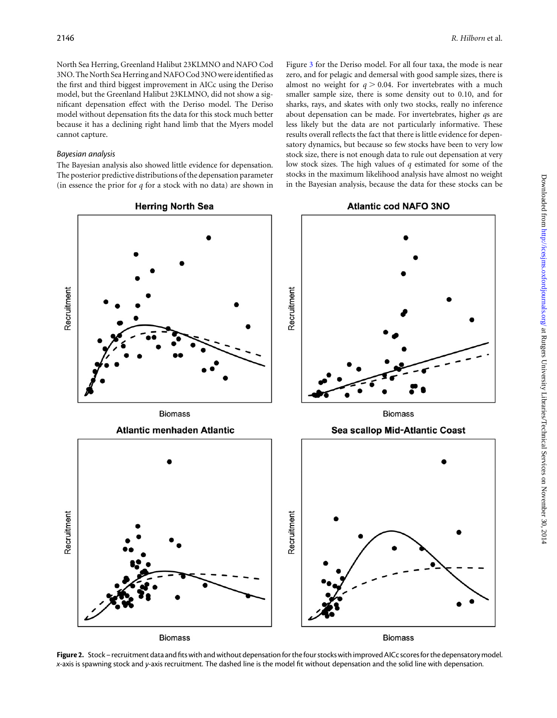<span id="page-5-0"></span>North Sea Herring, Greenland Halibut 23KLMNO and NAFO Cod 3NO. The North Sea Herring and NAFO Cod 3NO were identified as the first and third biggest improvement in AICc using the Deriso model, but the Greenland Halibut 23KLMNO, did not show a significant depensation effect with the Deriso model. The Deriso model without depensation fits the data for this stock much better because it has a declining right hand limb that the Myers model cannot capture.

# Bayesian analysis

The Bayesian analysis also showed little evidence for depensation. The posterior predictive distributions of the depensation parameter (in essence the prior for  $q$  for a stock with no data) are shown in Figure [3](#page-6-0) for the Deriso model. For all four taxa, the mode is near zero, and for pelagic and demersal with good sample sizes, there is almost no weight for  $q > 0.04$ . For invertebrates with a much smaller sample size, there is some density out to 0.10, and for sharks, rays, and skates with only two stocks, really no inference about depensation can be made. For invertebrates, higher qs are less likely but the data are not particularly informative. These results overall reflects the fact that there is little evidence for depensatory dynamics, but because so few stocks have been to very low stock size, there is not enough data to rule out depensation at very low stock sizes. The high values of q estimated for some of the stocks in the maximum likelihood analysis have almost no weight in the Bayesian analysis, because the data for these stocks can be

# **Atlantic cod NAFO 3NO Herring North Sea** Recruitment Recruitment **Biomass Biomass Atlantic menhaden Atlantic** Sea scallop Mid-Atlantic Coast Recruitment Recruitment **Biomass Biomass**

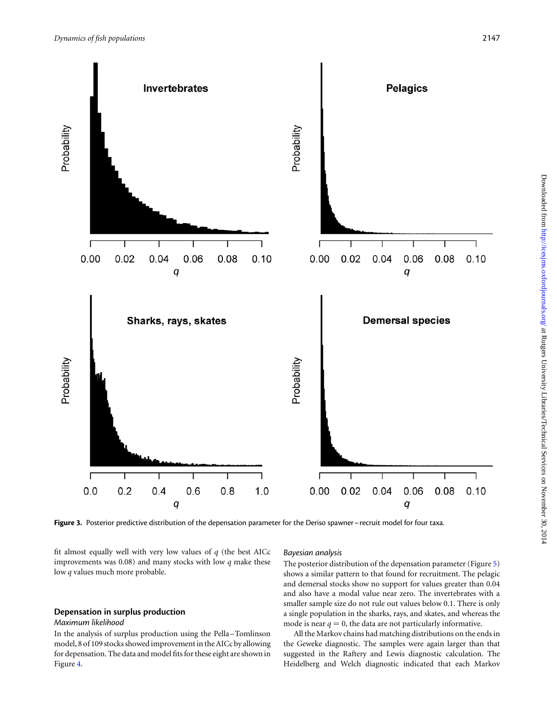<span id="page-6-0"></span>

Figure 3. Posterior predictive distribution of the depensation parameter for the Deriso spawner– recruit model for four taxa.

fit almost equally well with very low values of  $q$  (the best AICc improvements was  $0.08$ ) and many stocks with low q make these low q values much more probable.

## Depensation in surplus production

#### Maximum likelihood

In the analysis of surplus production using the Pella–Tomlinson model, 8 of 109 stocks showed improvement in the AICc by allowing for depensation. The data and model fits for these eight are shown in Figure [4.](#page-7-0)

## Bayesian analysis

The posterior distribution of the depensation parameter (Figure [5\)](#page-8-0) shows a similar pattern to that found for recruitment. The pelagic and demersal stocks show no support for values greater than 0.04 and also have a modal value near zero. The invertebrates with a smaller sample size do not rule out values below 0.1. There is only a single population in the sharks, rays, and skates, and whereas the mode is near  $q = 0$ , the data are not particularly informative.

All the Markov chains had matching distributions on the ends in the Geweke diagnostic. The samples were again larger than that suggested in the Raftery and Lewis diagnostic calculation. The Heidelberg and Welch diagnostic indicated that each Markov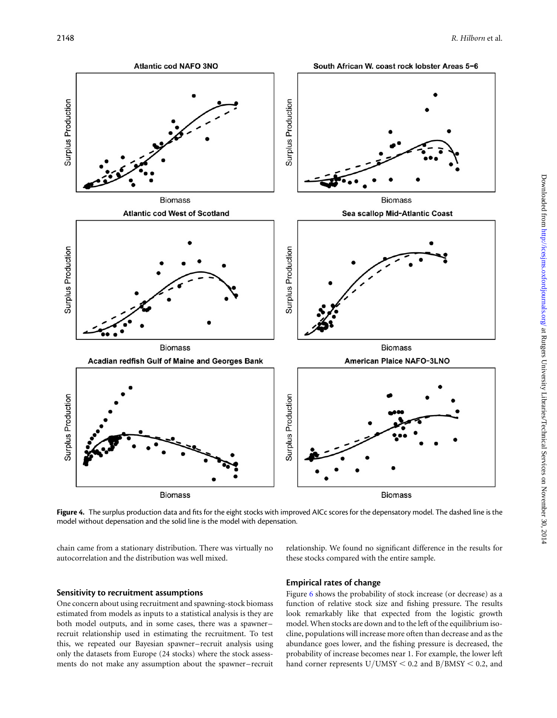<span id="page-7-0"></span>

Figure 4. The surplus production data and fits for the eight stocks with improved AICc scores for the depensatory model. The dashed line is the model without depensation and the solid line is the model with depensation.

chain came from a stationary distribution. There was virtually no autocorrelation and the distribution was well mixed.

relationship. We found no significant difference in the results for these stocks compared with the entire sample.

## Sensitivity to recruitment assumptions

One concern about using recruitment and spawning-stock biomass estimated from models as inputs to a statistical analysis is they are both model outputs, and in some cases, there was a spawner– recruit relationship used in estimating the recruitment. To test this, we repeated our Bayesian spawner–recruit analysis using only the datasets from Europe (24 stocks) where the stock assessments do not make any assumption about the spawner–recruit

# Empirical rates of change

Figure [6](#page-9-0) shows the probability of stock increase (or decrease) as a function of relative stock size and fishing pressure. The results look remarkably like that expected from the logistic growth model. When stocks are down and to the left of the equilibrium isocline, populations will increase more often than decrease and as the abundance goes lower, and the fishing pressure is decreased, the probability of increase becomes near 1. For example, the lower left hand corner represents  $U/UMSY < 0.2$  and  $B/BMSY < 0.2$ , and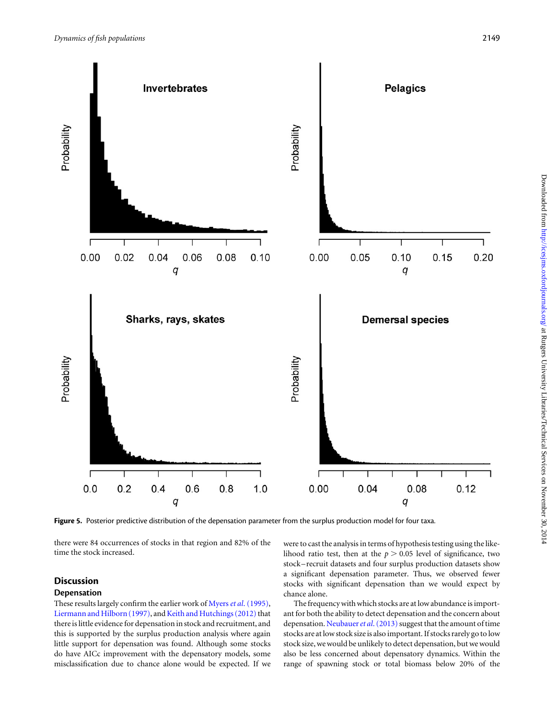<span id="page-8-0"></span>

Figure 5. Posterior predictive distribution of the depensation parameter from the surplus production model for four taxa.

there were 84 occurrences of stocks in that region and 82% of the time the stock increased.

# **Discussion**

# Depensation

These results largely confirm the earlier work of Myers et al[. \(1995\)](#page-10-0), [Liermann and Hilborn \(1997\)](#page-10-0), and [Keith and Hutchings \(2012\)](#page-10-0) that there is little evidence for depensation in stock and recruitment, and this is supported by the surplus production analysis where again little support for depensation was found. Although some stocks do have AICc improvement with the depensatory models, some misclassification due to chance alone would be expected. If we

were to cast the analysis in terms of hypothesis testing using the likelihood ratio test, then at the  $p > 0.05$  level of significance, two stock–recruit datasets and four surplus production datasets show a significant depensation parameter. Thus, we observed fewer stocks with significant depensation than we would expect by chance alone.

The frequency with which stocks are at low abundance is important for both the ability to detect depensation and the concern about depensation. [Neubauer](#page-10-0) et al. (2013) suggest that the amount of time stocks are at low stock size is also important. If stocks rarely go to low stock size, we would be unlikely to detect depensation, but we would also be less concerned about depensatory dynamics. Within the range of spawning stock or total biomass below 20% of the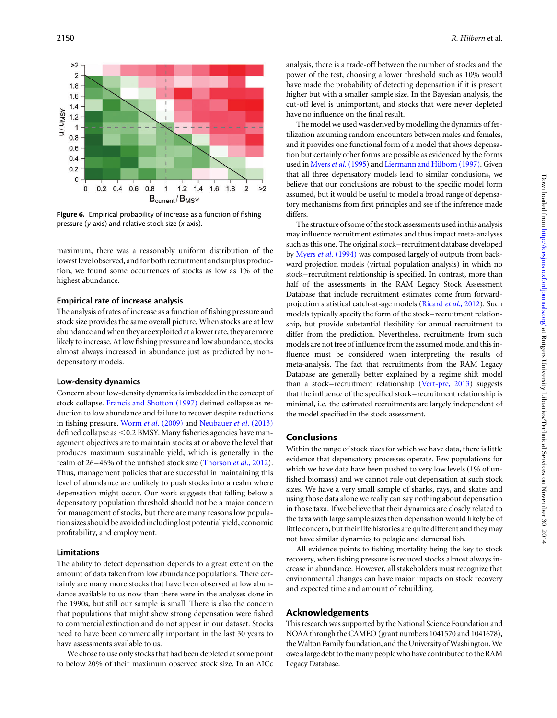<span id="page-9-0"></span>

Figure 6. Empirical probability of increase as a function of fishing pressure (y-axis) and relative stock size (x-axis).

maximum, there was a reasonably uniform distribution of the lowest level observed, and for both recruitment and surplus production, we found some occurrences of stocks as low as 1% of the highest abundance.

# Empirical rate of increase analysis

The analysis of rates of increase as a function of fishing pressure and stock size provides the same overall picture. When stocks are at low abundance and when they are exploited at a lower rate, they are more likely to increase. At low fishing pressure and low abundance, stocks almost always increased in abundance just as predicted by nondepensatory models.

# Low-density dynamics

Concern about low-density dynamics is imbedded in the concept of stock collapse. [Francis and Shotton \(1997\)](#page-10-0) defined collapse as reduction to low abundance and failure to recover despite reductions in fishing pressure. Worm et al[. \(2009\)](#page-10-0) and [Neubauer](#page-10-0) et al. (2013) defined collapse as  $<$  0.2 BMSY. Many fisheries agencies have management objectives are to maintain stocks at or above the level that produces maximum sustainable yield, which is generally in the realm of 26–46% of the unfished stock size [\(Thorson](#page-10-0) et al., 2012). Thus, management policies that are successful in maintaining this level of abundance are unlikely to push stocks into a realm where depensation might occur. Our work suggests that falling below a depensatory population threshold should not be a major concern for management of stocks, but there are many reasons low population sizes should be avoided including lost potential yield, economic profitability, and employment.

## Limitations

The ability to detect depensation depends to a great extent on the amount of data taken from low abundance populations. There certainly are many more stocks that have been observed at low abundance available to us now than there were in the analyses done in the 1990s, but still our sample is small. There is also the concern that populations that might show strong depensation were fished to commercial extinction and do not appear in our dataset. Stocks need to have been commercially important in the last 30 years to have assessments available to us.

We chose to use only stocks that had been depleted at some point to below 20% of their maximum observed stock size. In an AICc

analysis, there is a trade-off between the number of stocks and the power of the test, choosing a lower threshold such as 10% would have made the probability of detecting depensation if it is present higher but with a smaller sample size. In the Bayesian analysis, the cut-off level is unimportant, and stocks that were never depleted have no influence on the final result.

The model we used was derived by modelling the dynamics of fertilization assuming random encounters between males and females, and it provides one functional form of a model that shows depensation but certainly other forms are possible as evidenced by the forms used in Myers et al[. \(1995\)](#page-10-0) and [Liermann and Hilborn \(1997\).](#page-10-0) Given that all three depensatory models lead to similar conclusions, we believe that our conclusions are robust to the specific model form assumed, but it would be useful to model a broad range of depensatory mechanisms from first principles and see if the inference made differs.

The structure of some of the stock assessments used in this analysis may influence recruitment estimates and thus impact meta-analyses such as this one. The original stock–recruitment database developed by Myers et al[. \(1994\)](#page-10-0) was composed largely of outputs from backward projection models (virtual population analysis) in which no stock–recruitment relationship is specified. In contrast, more than half of the assessments in the RAM Legacy Stock Assessment Database that include recruitment estimates come from forwardprojection statistical catch-at-age models (Ricard et al[., 2012\)](#page-10-0). Such models typically specify the form of the stock–recruitment relationship, but provide substantial flexibility for annual recruitment to differ from the prediction. Nevertheless, recruitments from such models are not free of influence from the assumed model and this influence must be considered when interpreting the results of meta-analysis. The fact that recruitments from the RAM Legacy Database are generally better explained by a regime shift model than a stock–recruitment relationship ([Vert-pre, 2013\)](#page-10-0) suggests that the influence of the specified stock–recruitment relationship is minimal, i.e. the estimated recruitments are largely independent of the model specified in the stock assessment.

# Conclusions

Within the range of stock sizes for which we have data, there is little evidence that depensatory processes operate. Few populations for which we have data have been pushed to very low levels (1% of unfished biomass) and we cannot rule out depensation at such stock sizes. We have a very small sample of sharks, rays, and skates and using those data alone we really can say nothing about depensation in those taxa. If we believe that their dynamics are closely related to the taxa with large sample sizes then depensation would likely be of little concern, but their life histories are quite different and they may not have similar dynamics to pelagic and demersal fish.

All evidence points to fishing mortality being the key to stock recovery, when fishing pressure is reduced stocks almost always increase in abundance. However, all stakeholders must recognize that environmental changes can have major impacts on stock recovery and expected time and amount of rebuilding.

# Acknowledgements

This research was supported by the National Science Foundation and NOAA through the CAMEO (grant numbers 1041570 and 1041678), the Walton Family foundation, and the University of Washington. We owe a large debt to the many people who have contributed to the RAM Legacy Database.